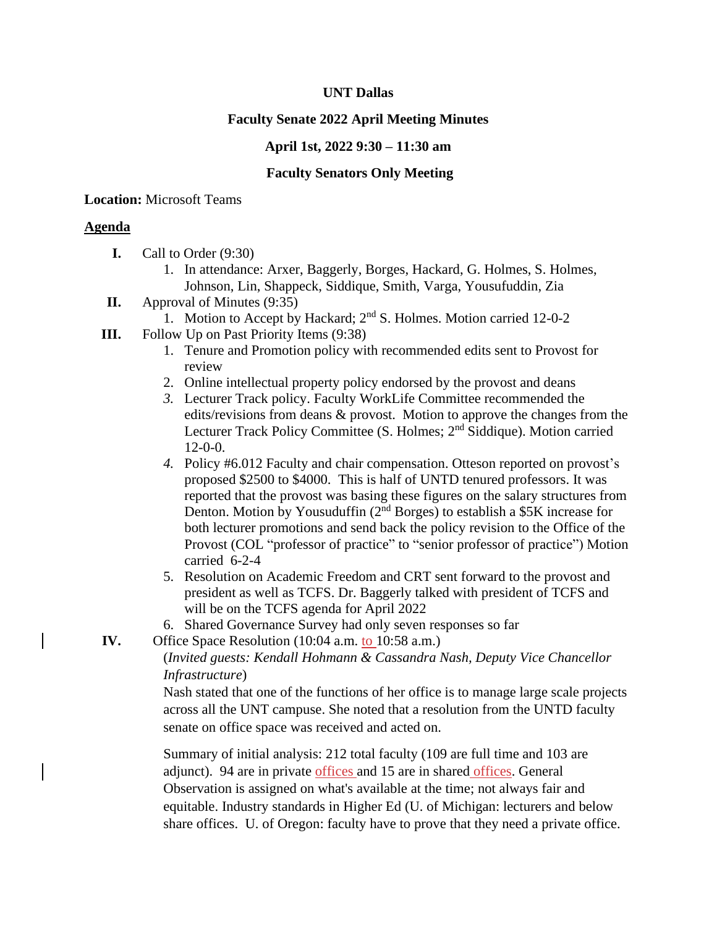### **UNT Dallas**

# **Faculty Senate 2022 April Meeting Minutes**

### **April 1st, 2022 9:30 – 11:30 am**

### **Faculty Senators Only Meeting**

### **Location:** Microsoft Teams

# **Agenda**

- **I.** Call to Order (9:30)
	- 1. In attendance: Arxer, Baggerly, Borges, Hackard, G. Holmes, S. Holmes, Johnson, Lin, Shappeck, Siddique, Smith, Varga, Yousufuddin, Zia
- **II.** Approval of Minutes (9:35)
	- 1. Motion to Accept by Hackard;  $2<sup>nd</sup>$  S. Holmes. Motion carried 12-0-2
- **III.** Follow Up on Past Priority Items (9:38)
	- 1. Tenure and Promotion policy with recommended edits sent to Provost for review
	- 2. Online intellectual property policy endorsed by the provost and deans
	- *3.* Lecturer Track policy. Faculty WorkLife Committee recommended the edits/revisions from deans & provost. Motion to approve the changes from the Lecturer Track Policy Committee (S. Holmes; 2<sup>nd</sup> Siddique). Motion carried 12-0-0.
	- *4.* Policy #6.012 Faculty and chair compensation. Otteson reported on provost's proposed \$2500 to \$4000. This is half of UNTD tenured professors. It was reported that the provost was basing these figures on the salary structures from Denton. Motion by Yousuduffin  $(2<sup>nd</sup> Borges)$  to establish a \$5K increase for both lecturer promotions and send back the policy revision to the Office of the Provost (COL "professor of practice" to "senior professor of practice") Motion carried 6-2-4
	- 5. Resolution on Academic Freedom and CRT sent forward to the provost and president as well as TCFS. Dr. Baggerly talked with president of TCFS and will be on the TCFS agenda for April 2022
	- 6. Shared Governance Survey had only seven responses so far
- **IV.** Office Space Resolution (10:04 a.m. to 10:58 a.m.)

(*Invited guests: Kendall Hohmann & Cassandra Nash, Deputy Vice Chancellor Infrastructure*)

Nash stated that one of the functions of her office is to manage large scale projects across all the UNT campuse. She noted that a resolution from the UNTD faculty senate on office space was received and acted on.

Summary of initial analysis: 212 total faculty (109 are full time and 103 are adjunct). 94 are in private offices and 15 are in shared offices. General Observation is assigned on what's available at the time; not always fair and equitable. Industry standards in Higher Ed (U. of Michigan: lecturers and below share offices. U. of Oregon: faculty have to prove that they need a private office.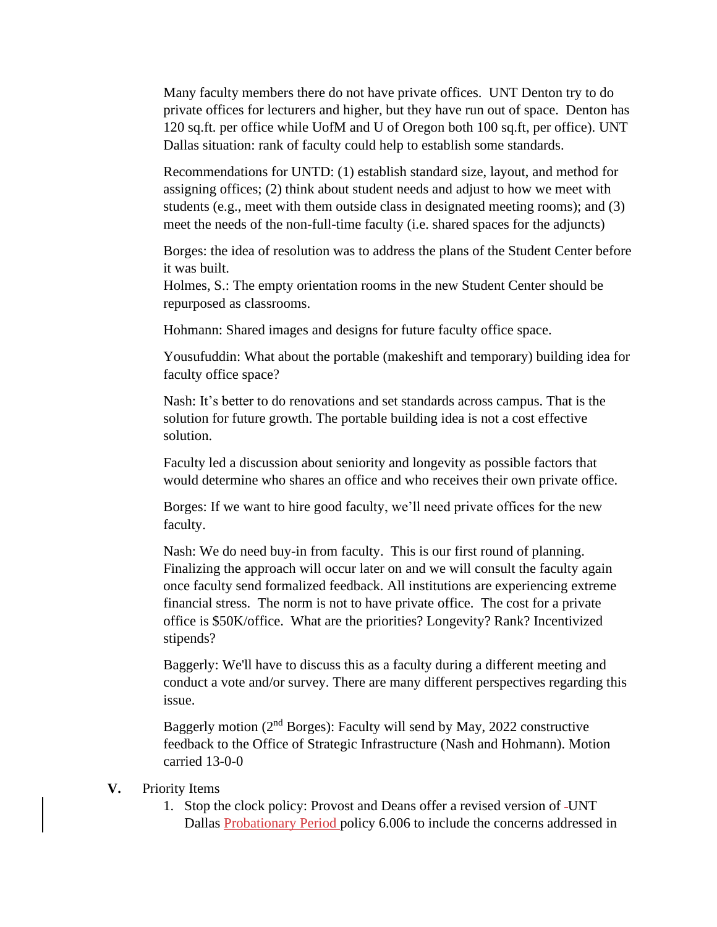Many faculty members there do not have private offices. UNT Denton try to do private offices for lecturers and higher, but they have run out of space. Denton has 120 sq.ft. per office while UofM and U of Oregon both 100 sq.ft, per office). UNT Dallas situation: rank of faculty could help to establish some standards.

Recommendations for UNTD: (1) establish standard size, layout, and method for assigning offices; (2) think about student needs and adjust to how we meet with students (e.g., meet with them outside class in designated meeting rooms); and (3) meet the needs of the non-full-time faculty (i.e. shared spaces for the adjuncts)

Borges: the idea of resolution was to address the plans of the Student Center before it was built.

Holmes, S.: The empty orientation rooms in the new Student Center should be repurposed as classrooms.

Hohmann: Shared images and designs for future faculty office space.

Yousufuddin: What about the portable (makeshift and temporary) building idea for faculty office space?

Nash: It's better to do renovations and set standards across campus. That is the solution for future growth. The portable building idea is not a cost effective solution.

Faculty led a discussion about seniority and longevity as possible factors that would determine who shares an office and who receives their own private office.

Borges: If we want to hire good faculty, we'll need private offices for the new faculty.

Nash: We do need buy-in from faculty. This is our first round of planning. Finalizing the approach will occur later on and we will consult the faculty again once faculty send formalized feedback. All institutions are experiencing extreme financial stress. The norm is not to have private office. The cost for a private office is \$50K/office. What are the priorities? Longevity? Rank? Incentivized stipends?

Baggerly: We'll have to discuss this as a faculty during a different meeting and conduct a vote and/or survey. There are many different perspectives regarding this issue.

Baggerly motion (2<sup>nd</sup> Borges): Faculty will send by May, 2022 constructive feedback to the Office of Strategic Infrastructure (Nash and Hohmann). Motion carried 13-0-0

#### **V.** Priority Items

1. Stop the clock policy: Provost and Deans offer a revised version of UNT Dallas Probationary Period policy 6.006 to include the concerns addressed in